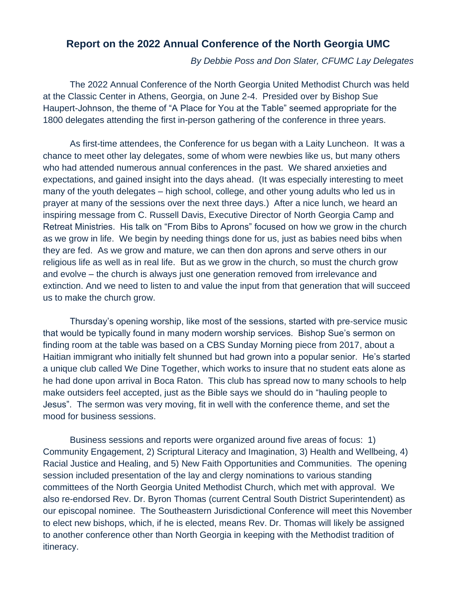# **Report on the 2022 Annual Conference of the North Georgia UMC**

*By Debbie Poss and Don Slater, CFUMC Lay Delegates*

The 2022 Annual Conference of the North Georgia United Methodist Church was held at the Classic Center in Athens, Georgia, on June 2-4. Presided over by Bishop Sue Haupert-Johnson, the theme of "A Place for You at the Table" seemed appropriate for the 1800 delegates attending the first in-person gathering of the conference in three years.

As first-time attendees, the Conference for us began with a Laity Luncheon. It was a chance to meet other lay delegates, some of whom were newbies like us, but many others who had attended numerous annual conferences in the past. We shared anxieties and expectations, and gained insight into the days ahead. (It was especially interesting to meet many of the youth delegates – high school, college, and other young adults who led us in prayer at many of the sessions over the next three days.) After a nice lunch, we heard an inspiring message from C. Russell Davis, Executive Director of North Georgia Camp and Retreat Ministries. His talk on "From Bibs to Aprons" focused on how we grow in the church as we grow in life. We begin by needing things done for us, just as babies need bibs when they are fed. As we grow and mature, we can then don aprons and serve others in our religious life as well as in real life. But as we grow in the church, so must the church grow and evolve – the church is always just one generation removed from irrelevance and extinction. And we need to listen to and value the input from that generation that will succeed us to make the church grow.

Thursday's opening worship, like most of the sessions, started with pre-service music that would be typically found in many modern worship services. Bishop Sue's sermon on finding room at the table was based on a CBS Sunday Morning piece from 2017, about a Haitian immigrant who initially felt shunned but had grown into a popular senior. He's started a unique club called We Dine Together, which works to insure that no student eats alone as he had done upon arrival in Boca Raton. This club has spread now to many schools to help make outsiders feel accepted, just as the Bible says we should do in "hauling people to Jesus". The sermon was very moving, fit in well with the conference theme, and set the mood for business sessions.

Business sessions and reports were organized around five areas of focus: 1) Community Engagement, 2) Scriptural Literacy and Imagination, 3) Health and Wellbeing, 4) Racial Justice and Healing, and 5) New Faith Opportunities and Communities. The opening session included presentation of the lay and clergy nominations to various standing committees of the North Georgia United Methodist Church, which met with approval. We also re-endorsed Rev. Dr. Byron Thomas (current Central South District Superintendent) as our episcopal nominee. The Southeastern Jurisdictional Conference will meet this November to elect new bishops, which, if he is elected, means Rev. Dr. Thomas will likely be assigned to another conference other than North Georgia in keeping with the Methodist tradition of itineracy.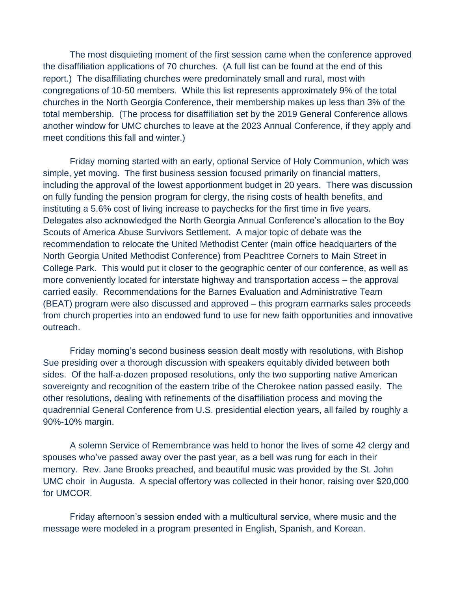The most disquieting moment of the first session came when the conference approved the disaffiliation applications of 70 churches. (A full list can be found at the end of this report.) The disaffiliating churches were predominately small and rural, most with congregations of 10-50 members. While this list represents approximately 9% of the total churches in the North Georgia Conference, their membership makes up less than 3% of the total membership. (The process for disaffiliation set by the 2019 General Conference allows another window for UMC churches to leave at the 2023 Annual Conference, if they apply and meet conditions this fall and winter.)

Friday morning started with an early, optional Service of Holy Communion, which was simple, yet moving. The first business session focused primarily on financial matters, including the approval of the lowest apportionment budget in 20 years. There was discussion on fully funding the pension program for clergy, the rising costs of health benefits, and instituting a 5.6% cost of living increase to paychecks for the first time in five years. Delegates also acknowledged the North Georgia Annual Conference's allocation to the Boy Scouts of America Abuse Survivors Settlement. A major topic of debate was the recommendation to relocate the United Methodist Center (main office headquarters of the North Georgia United Methodist Conference) from Peachtree Corners to Main Street in College Park. This would put it closer to the geographic center of our conference, as well as more conveniently located for interstate highway and transportation access – the approval carried easily. Recommendations for the Barnes Evaluation and Administrative Team (BEAT) program were also discussed and approved – this program earmarks sales proceeds from church properties into an endowed fund to use for new faith opportunities and innovative outreach.

Friday morning's second business session dealt mostly with resolutions, with Bishop Sue presiding over a thorough discussion with speakers equitably divided between both sides. Of the half-a-dozen proposed resolutions, only the two supporting native American sovereignty and recognition of the eastern tribe of the Cherokee nation passed easily. The other resolutions, dealing with refinements of the disaffiliation process and moving the quadrennial General Conference from U.S. presidential election years, all failed by roughly a 90%-10% margin.

A solemn Service of Remembrance was held to honor the lives of some 42 clergy and spouses who've passed away over the past year, as a bell was rung for each in their memory. Rev. Jane Brooks preached, and beautiful music was provided by the St. John UMC choir in Augusta. A special offertory was collected in their honor, raising over \$20,000 for UMCOR.

Friday afternoon's session ended with a multicultural service, where music and the message were modeled in a program presented in English, Spanish, and Korean.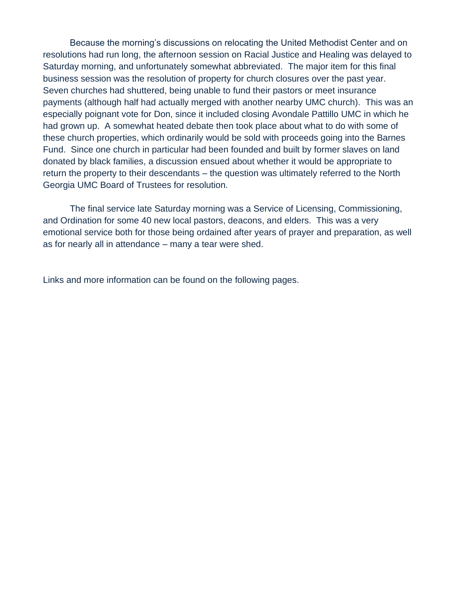Because the morning's discussions on relocating the United Methodist Center and on resolutions had run long, the afternoon session on Racial Justice and Healing was delayed to Saturday morning, and unfortunately somewhat abbreviated. The major item for this final business session was the resolution of property for church closures over the past year. Seven churches had shuttered, being unable to fund their pastors or meet insurance payments (although half had actually merged with another nearby UMC church). This was an especially poignant vote for Don, since it included closing Avondale Pattillo UMC in which he had grown up. A somewhat heated debate then took place about what to do with some of these church properties, which ordinarily would be sold with proceeds going into the Barnes Fund. Since one church in particular had been founded and built by former slaves on land donated by black families, a discussion ensued about whether it would be appropriate to return the property to their descendants – the question was ultimately referred to the North Georgia UMC Board of Trustees for resolution.

The final service late Saturday morning was a Service of Licensing, Commissioning, and Ordination for some 40 new local pastors, deacons, and elders. This was a very emotional service both for those being ordained after years of prayer and preparation, as well as for nearly all in attendance – many a tear were shed.

Links and more information can be found on the following pages.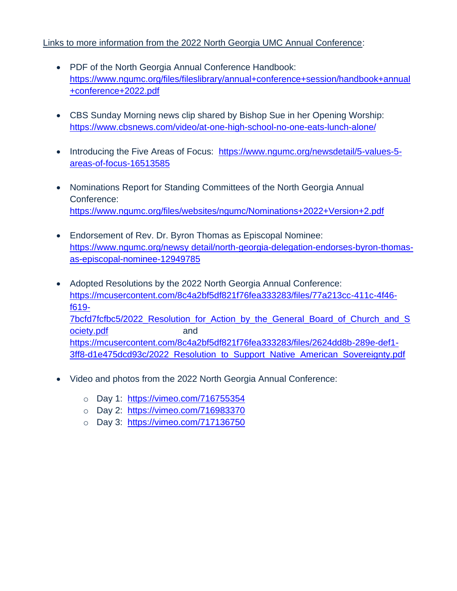## Links to more information from the 2022 North Georgia UMC Annual Conference:

- PDF of the North Georgia Annual Conference Handbook: [https://www.ngumc.org/files/fileslibrary/annual+conference+session/handbook+annual](https://www.ngumc.org/files/fileslibrary/annual+conference+session/handbook+annual+conference+2022.pdf) [+conference+2022.pdf](https://www.ngumc.org/files/fileslibrary/annual+conference+session/handbook+annual+conference+2022.pdf)
- CBS Sunday Morning news clip shared by Bishop Sue in her Opening Worship: <https://www.cbsnews.com/video/at-one-high-school-no-one-eats-lunch-alone/>
- Introducing the Five Areas of Focus: [https://www.ngumc.org/newsdetail/5-values-5](https://www.ngumc.org/newsdetail/5-values-5-areas-of-focus-16513585) [areas-of-focus-16513585](https://www.ngumc.org/newsdetail/5-values-5-areas-of-focus-16513585)
- Nominations Report for Standing Committees of the North Georgia Annual Conference: <https://www.ngumc.org/files/websites/ngumc/Nominations+2022+Version+2.pdf>
- Endorsement of Rev. Dr. Byron Thomas as Episcopal Nominee: [https://www.ngumc.org/newsy detail/north-georgia-delegation-endorses-byron-thomas](https://www.ngumc.org/newsy%20detail/north-georgia-delegation-endorses-byron-thomas-as-episcopal-nominee-12949785)[as-episcopal-nominee-12949785](https://www.ngumc.org/newsy%20detail/north-georgia-delegation-endorses-byron-thomas-as-episcopal-nominee-12949785)
- Adopted Resolutions by the 2022 North Georgia Annual Conference: [https://mcusercontent.com/8c4a2bf5df821f76fea333283/files/77a213cc-411c-4f46](https://mcusercontent.com/8c4a2bf5df821f76fea333283/files/77a213cc-411c-4f46-f619-7bcfd7fcfbc5/2022_Resolution_for_Action_by_the_General_Board_of_Church_and_Society.pdf) [f619-](https://mcusercontent.com/8c4a2bf5df821f76fea333283/files/77a213cc-411c-4f46-f619-7bcfd7fcfbc5/2022_Resolution_for_Action_by_the_General_Board_of_Church_and_Society.pdf) [7bcfd7fcfbc5/2022\\_Resolution\\_for\\_Action\\_by\\_the\\_General\\_Board\\_of\\_Church\\_and\\_S](https://mcusercontent.com/8c4a2bf5df821f76fea333283/files/77a213cc-411c-4f46-f619-7bcfd7fcfbc5/2022_Resolution_for_Action_by_the_General_Board_of_Church_and_Society.pdf) [ociety.pdf](https://mcusercontent.com/8c4a2bf5df821f76fea333283/files/77a213cc-411c-4f46-f619-7bcfd7fcfbc5/2022_Resolution_for_Action_by_the_General_Board_of_Church_and_Society.pdf) and [https://mcusercontent.com/8c4a2bf5df821f76fea333283/files/2624dd8b-289e-def1-](https://mcusercontent.com/8c4a2bf5df821f76fea333283/files/2624dd8b-289e-def1-3ff8-d1e475dcd93c/2022_Resolution_to_Support_Native_American_Sovereignty.pdf) [3ff8-d1e475dcd93c/2022\\_Resolution\\_to\\_Support\\_Native\\_American\\_Sovereignty.pdf](https://mcusercontent.com/8c4a2bf5df821f76fea333283/files/2624dd8b-289e-def1-3ff8-d1e475dcd93c/2022_Resolution_to_Support_Native_American_Sovereignty.pdf)
- Video and photos from the 2022 North Georgia Annual Conference:
	- o Day 1: <https://vimeo.com/716755354>
	- o Day 2: <https://vimeo.com/716983370>
	- o Day 3: <https://vimeo.com/717136750>